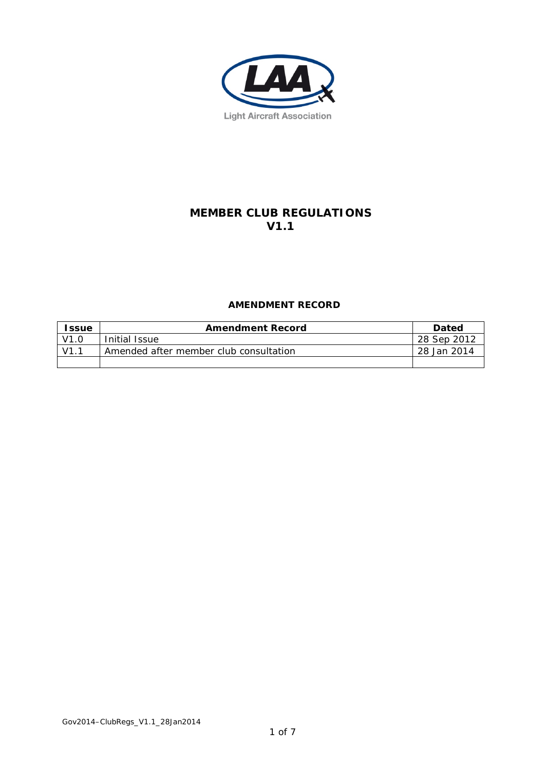

# **MEMBER CLUB REGULATIONS V1.1**

# **AMENDMENT RECORD**

| <b>Issue</b> | <b>Amendment Record</b>                | <b>Dated</b> |
|--------------|----------------------------------------|--------------|
| V1.0         | Initial Issue                          | 28 Sep 2012  |
| $V1$ .       | Amended after member club consultation | 28 Jan 2014  |
|              |                                        |              |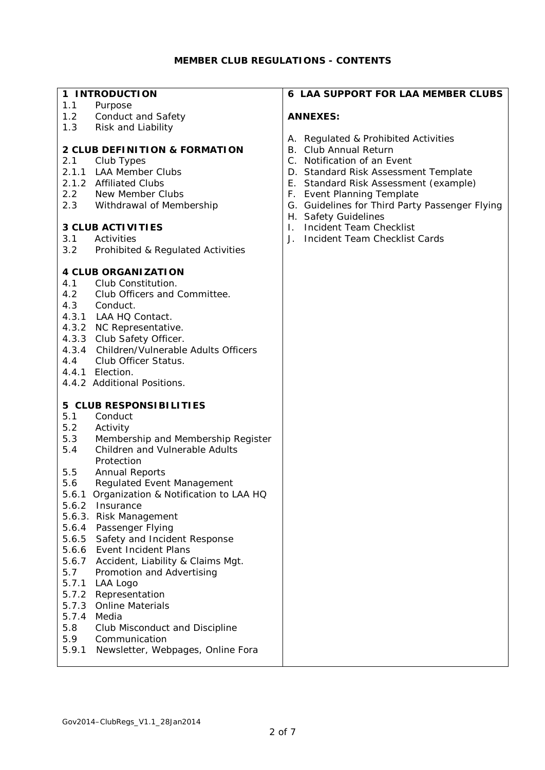#### **1 INTRODUCTION**

- 1.1 Purpose
- 1.2 Conduct and Safety<br>1.3 Risk and Liability
- Risk and Liability

## **2 CLUB DEFINITION & FORMATION**

- 2.1 Club Types
- 2.1.1 LAA Member Clubs
- 2.1.2 Affiliated Clubs
- 2.2 New Member Clubs<br>2.3 Withdrawal of Meml
- Withdrawal of Membership

# **3 CLUB ACTIVITIES**

#### 3.1 Activities

3.2 Prohibited & Regulated Activities

# **4 CLUB ORGANIZATION**

#### 4.1 Club Constitution.

- 4.2 Club Officers and Committee.
- 4.3 Conduct.
- 4.3.1 LAA HQ Contact.
- 4.3.2 NC Representative.
- 4.3.3 Club Safety Officer.
- 4.3.4 Children/Vulnerable Adults Officers
- 4.4 Club Officer Status.
- 4.4.1 Election.
- 4.4.2 Additional Positions.

# **5 CLUB RESPONSIBILITIES**

- **Conduct**
- 5.2 Activity
- 5.3 Membership and Membership Register
- 5.4 Children and Vulnerable Adults Protection
- 5.5 Annual Reports
- 5.6 Regulated Event Management
- 5.6.1 Organization & Notification to LAA HQ
- 5.6.2 Insurance
- 5.6.3. Risk Management
- 5.6.4 Passenger Flying
- 5.6.5 Safety and Incident Response
- 5.6.6 Event Incident Plans
- 5.6.7 Accident, Liability & Claims Mgt.
- 5.7 Promotion and Advertising
- 5.7.1 LAA Logo
- 5.7.2 Representation
- 5.7.3 Online Materials
- 5.7.4 Media
- 5.8 Club Misconduct and Discipline
- 5.9 Communication
- 5.9.1 Newsletter, Webpages, Online Fora

#### **6 LAA SUPPORT FOR LAA MEMBER CLUBS**

#### **ANNEXES:**

- A. Regulated & Prohibited Activities
- B. Club Annual Return
- C. Notification of an Event
- D. Standard Risk Assessment Template
- E. Standard Risk Assessment (example)
- F. Event Planning Template
- G. Guidelines for Third Party Passenger Flying
- H. Safety Guidelines
- I. Incident Team Checklist
- J. Incident Team Checklist Cards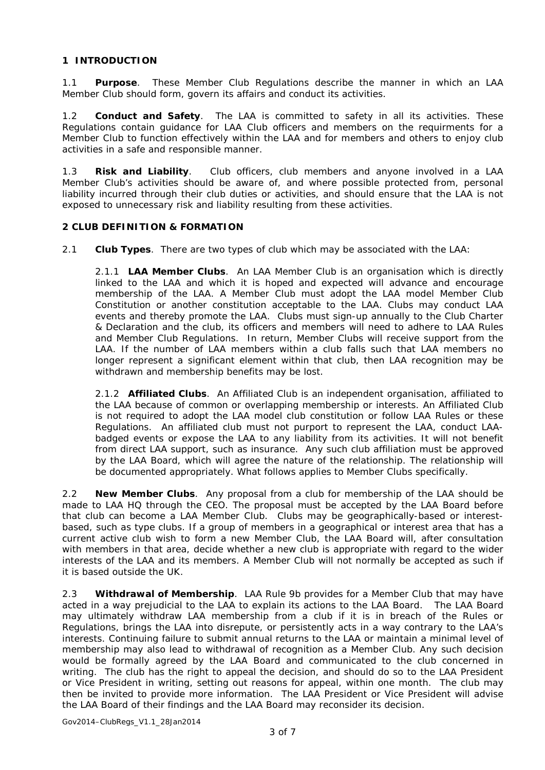# **1 INTRODUCTION**

1.1 **Purpose**. These Member Club Regulations describe the manner in which an LAA Member Club should form, govern its affairs and conduct its activities.

1.2 **Conduct and Safety**. The LAA is committed to safety in all its activities. These Regulations contain guidance for LAA Club officers and members on the requirments for a Member Club to function effectively within the LAA and for members and others to enjoy club activities in a safe and responsible manner.

1.3 **Risk and Liability**. Club officers, club members and anyone involved in a LAA Member Club's activities should be aware of, and where possible protected from, personal liability incurred through their club duties or activities, and should ensure that the LAA is not exposed to unnecessary risk and liability resulting from these activities.

#### **2 CLUB DEFINITION & FORMATION**

2.1 **Club Types**. There are two types of club which may be associated with the LAA:

2.1.1 **LAA Member Clubs**. An LAA Member Club is an organisation which is directly linked to the LAA and which it is hoped and expected will advance and encourage membership of the LAA. A Member Club must adopt the LAA model Member Club Constitution or another constitution acceptable to the LAA. Clubs may conduct LAA events and thereby promote the LAA. Clubs must sign-up annually to the Club Charter & Declaration and the club, its officers and members will need to adhere to LAA Rules and Member Club Regulations. In return, Member Clubs will receive support from the LAA. If the number of LAA members within a club falls such that LAA members no longer represent a significant element within that club, then LAA recognition may be withdrawn and membership benefits may be lost.

2.1.2 **Affiliated Clubs**. An Affiliated Club is an independent organisation, affiliated to the LAA because of common or overlapping membership or interests. An Affiliated Club is not required to adopt the LAA model club constitution or follow LAA Rules or these Regulations. An affiliated club must not purport to represent the LAA, conduct LAAbadged events or expose the LAA to any liability from its activities. It will not benefit from direct LAA support, such as insurance. Any such club affiliation must be approved by the LAA Board, which will agree the nature of the relationship. The relationship will be documented appropriately. What follows applies to Member Clubs specifically.

2.2 **New Member Clubs**. Any proposal from a club for membership of the LAA should be made to LAA HQ through the CEO. The proposal must be accepted by the LAA Board before that club can become a LAA Member Club. Clubs may be geographically-based or interestbased, such as type clubs. If a group of members in a geographical or interest area that has a current active club wish to form a new Member Club, the LAA Board will, after consultation with members in that area, decide whether a new club is appropriate with regard to the wider interests of the LAA and its members. A Member Club will not normally be accepted as such if it is based outside the UK.

2.3 **Withdrawal of Membership**. LAA Rule 9b provides for a Member Club that may have acted in a way prejudicial to the LAA to explain its actions to the LAA Board. The LAA Board may ultimately withdraw LAA membership from a club if it is in breach of the Rules or Regulations, brings the LAA into disrepute, or persistently acts in a way contrary to the LAA's interests. Continuing failure to submit annual returns to the LAA or maintain a minimal level of membership may also lead to withdrawal of recognition as a Member Club. Any such decision would be formally agreed by the LAA Board and communicated to the club concerned in writing. The club has the right to appeal the decision, and should do so to the LAA President or Vice President in writing, setting out reasons for appeal, within one month. The club may then be invited to provide more information. The LAA President or Vice President will advise the LAA Board of their findings and the LAA Board may reconsider its decision.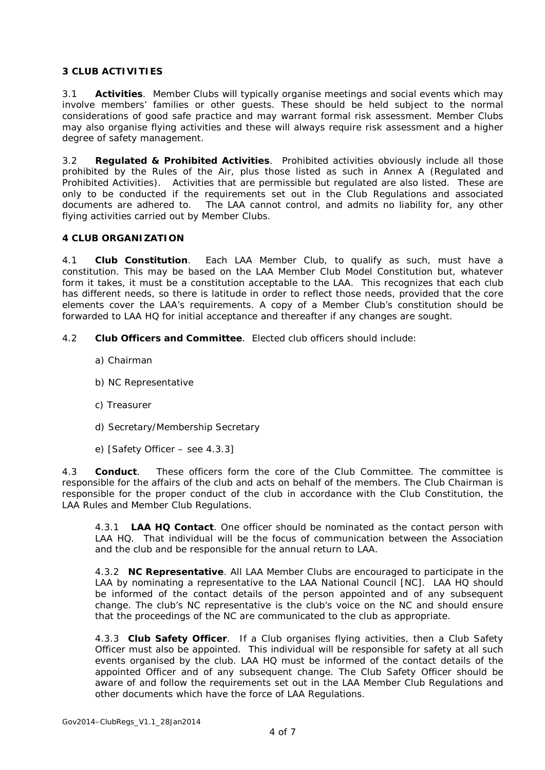#### **3 CLUB ACTIVITIES**

3.1 **Activities**. Member Clubs will typically organise meetings and social events which may involve members' families or other guests. These should be held subject to the normal considerations of good safe practice and may warrant formal risk assessment. Member Clubs may also organise flying activities and these will always require risk assessment and a higher degree of safety management.

3.2 **Regulated & Prohibited Activities**. Prohibited activities obviously include all those prohibited by the Rules of the Air, plus those listed as such in Annex A (Regulated and Prohibited Activities). Activities that are permissible but regulated are also listed. These are only to be conducted if the requirements set out in the Club Regulations and associated documents are adhered to. The LAA cannot control, and admits no liability for, any other flying activities carried out by Member Clubs.

#### **4 CLUB ORGANIZATION**

4.1 **Club Constitution**. Each LAA Member Club, to qualify as such, must have a constitution. This may be based on the LAA Member Club Model Constitution but, whatever form it takes, it must be a constitution acceptable to the LAA. This recognizes that each club has different needs, so there is latitude in order to reflect those needs, provided that the core elements cover the LAA's requirements. A copy of a Member Club's constitution should be forwarded to LAA HQ for initial acceptance and thereafter if any changes are sought.

- 4.2 **Club Officers and Committee**. Elected club officers should include:
	- a) Chairman
	- b) NC Representative
	- c) Treasurer
	- d) Secretary/Membership Secretary
	- e) [Safety Officer see 4.3.3]

4.3 **Conduct**. These officers form the core of the Club Committee. The committee is responsible for the affairs of the club and acts on behalf of the members. The Club Chairman is responsible for the proper conduct of the club in accordance with the Club Constitution, the LAA Rules and Member Club Regulations.

4.3.1 **LAA HQ Contact**. One officer should be nominated as the contact person with LAA HQ. That individual will be the focus of communication between the Association and the club and be responsible for the annual return to LAA.

4.3.2 **NC Representative**. All LAA Member Clubs are encouraged to participate in the LAA by nominating a representative to the LAA National Council [NC]. LAA HQ should be informed of the contact details of the person appointed and of any subsequent change. The club's NC representative is the club's voice on the NC and should ensure that the proceedings of the NC are communicated to the club as appropriate.

4.3.3 **Club Safety Officer**. If a Club organises flying activities, then a Club Safety Officer must also be appointed. This individual will be responsible for safety at all such events organised by the club. LAA HQ must be informed of the contact details of the appointed Officer and of any subsequent change. The Club Safety Officer should be aware of and follow the requirements set out in the LAA Member Club Regulations and other documents which have the force of LAA Regulations.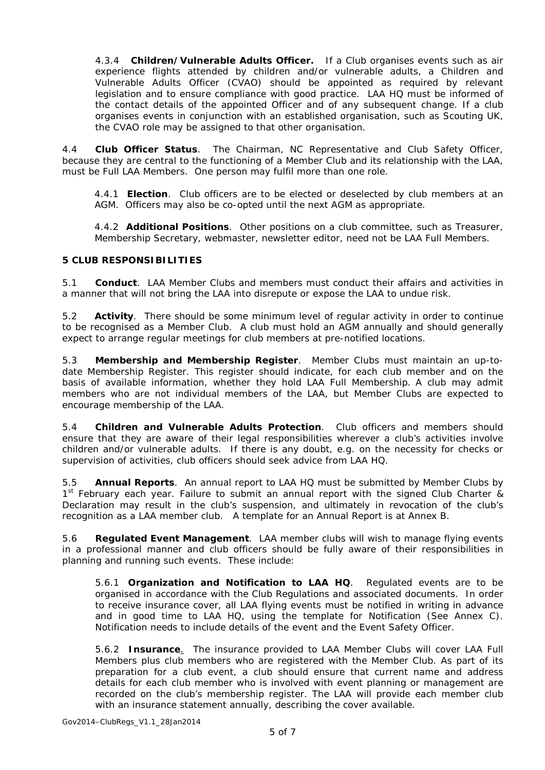4.3.4 **Children/Vulnerable Adults Officer.** If a Club organises events such as air experience flights attended by children and/or vulnerable adults, a Children and Vulnerable Adults Officer (CVAO) should be appointed as required by relevant legislation and to ensure compliance with good practice. LAA HQ must be informed of the contact details of the appointed Officer and of any subsequent change. If a club organises events in conjunction with an established organisation, such as Scouting UK, the CVAO role may be assigned to that other organisation.

4.4 **Club Officer Status**. The Chairman, NC Representative and Club Safety Officer, because they are central to the functioning of a Member Club and its relationship with the LAA, must be Full LAA Members. One person may fulfil more than one role.

4.4.1 **Election**. Club officers are to be elected or deselected by club members at an AGM. Officers may also be co-opted until the next AGM as appropriate.

4.4.2 **Additional Positions**. Other positions on a club committee, such as Treasurer, Membership Secretary, webmaster, newsletter editor, need not be LAA Full Members.

#### **5 CLUB RESPONSIBILITIES**

5.1 **Conduct**. LAA Member Clubs and members must conduct their affairs and activities in a manner that will not bring the LAA into disrepute or expose the LAA to undue risk.

5.2 **Activity**. There should be some minimum level of regular activity in order to continue to be recognised as a Member Club. A club must hold an AGM annually and should generally expect to arrange regular meetings for club members at pre-notified locations.

5.3 **Membership and Membership Register**. Member Clubs must maintain an up-todate Membership Register. This register should indicate, for each club member and on the basis of available information, whether they hold LAA Full Membership. A club may admit members who are not individual members of the LAA, but Member Clubs are expected to encourage membership of the LAA.

5.4 **Children and Vulnerable Adults Protection**. Club officers and members should ensure that they are aware of their legal responsibilities wherever a club's activities involve children and/or vulnerable adults. If there is any doubt, e.g. on the necessity for checks or supervision of activities, club officers should seek advice from LAA HQ.

5.5 **Annual Reports**. An annual report to LAA HQ must be submitted by Member Clubs by 1<sup>st</sup> February each year. Failure to submit an annual report with the signed Club Charter & Declaration may result in the club's suspension, and ultimately in revocation of the club's recognition as a LAA member club. A template for an Annual Report is at Annex B.

5.6 **Regulated Event Management**. LAA member clubs will wish to manage flying events in a professional manner and club officers should be fully aware of their responsibilities in planning and running such events. These include:

5.6.1 **Organization and Notification to LAA HQ**. Regulated events are to be organised in accordance with the Club Regulations and associated documents. In order to receive insurance cover, all LAA flying events must be notified in writing in advance and in good time to LAA HQ, using the template for Notification (See Annex C). Notification needs to include details of the event and the Event Safety Officer.

5.6.2 **Insurance**. The insurance provided to LAA Member Clubs will cover LAA Full Members plus club members who are registered with the Member Club. As part of its preparation for a club event, a club should ensure that current name and address details for each club member who is involved with event planning or management are recorded on the club's membership register. The LAA will provide each member club with an insurance statement annually, describing the cover available.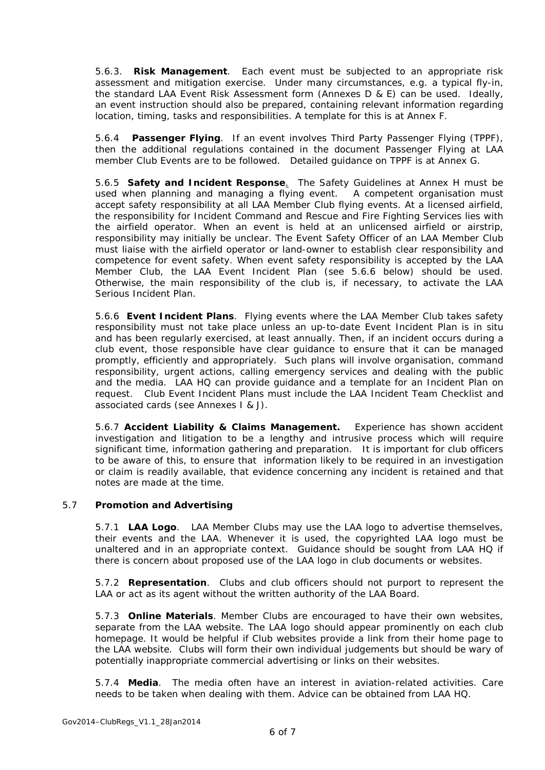5.6.3. **Risk Management**. Each event must be subjected to an appropriate risk assessment and mitigation exercise. Under many circumstances, e.g. a typical fly-in, the standard LAA Event Risk Assessment form (Annexes D & E) can be used. Ideally, an event instruction should also be prepared, containing relevant information regarding location, timing, tasks and responsibilities. A template for this is at Annex F.

5.6.4 **Passenger Flying**. If an event involves Third Party Passenger Flying (TPPF), then the additional regulations contained in the document Passenger Flying at LAA member Club Events are to be followed. Detailed guidance on TPPF is at Annex G.

5.6.5 **Safety and Incident Response**. The Safety Guidelines at Annex H must be used when planning and managing a flying event. A competent organisation must accept safety responsibility at all LAA Member Club flying events. At a licensed airfield, the responsibility for Incident Command and Rescue and Fire Fighting Services lies with the airfield operator. When an event is held at an unlicensed airfield or airstrip, responsibility may initially be unclear. The Event Safety Officer of an LAA Member Club must liaise with the airfield operator or land-owner to establish clear responsibility and competence for event safety. When event safety responsibility is accepted by the LAA Member Club, the LAA Event Incident Plan (see 5.6.6 below) should be used. Otherwise, the main responsibility of the club is, if necessary, to activate the LAA Serious Incident Plan.

5.6.6 **Event Incident Plans**. Flying events where the LAA Member Club takes safety responsibility must not take place unless an up-to-date Event Incident Plan is in situ and has been regularly exercised, at least annually. Then, if an incident occurs during a club event, those responsible have clear guidance to ensure that it can be managed promptly, efficiently and appropriately. Such plans will involve organisation, command responsibility, urgent actions, calling emergency services and dealing with the public and the media. LAA HQ can provide guidance and a template for an Incident Plan on request. Club Event Incident Plans must include the LAA Incident Team Checklist and associated cards (see Annexes I & J).

5.6.7 **Accident Liability & Claims Management.** Experience has shown accident investigation and litigation to be a lengthy and intrusive process which will require significant time, information gathering and preparation. It is important for club officers to be aware of this, to ensure that information likely to be required in an investigation or claim is readily available, that evidence concerning any incident is retained and that notes are made at the time.

#### 5.7 **Promotion and Advertising**

5.7.1 **LAA Logo**. LAA Member Clubs may use the LAA logo to advertise themselves, their events and the LAA. Whenever it is used, the copyrighted LAA logo must be unaltered and in an appropriate context. Guidance should be sought from LAA HQ if there is concern about proposed use of the LAA logo in club documents or websites.

5.7.2 **Representation**. Clubs and club officers should not purport to represent the LAA or act as its agent without the written authority of the LAA Board.

5.7.3 **Online Materials**. Member Clubs are encouraged to have their own websites, separate from the LAA website. The LAA logo should appear prominently on each club homepage. It would be helpful if Club websites provide a link from their home page to the LAA website. Clubs will form their own individual judgements but should be wary of potentially inappropriate commercial advertising or links on their websites.

5.7.4 **Media**. The media often have an interest in aviation-related activities. Care needs to be taken when dealing with them. Advice can be obtained from LAA HQ.